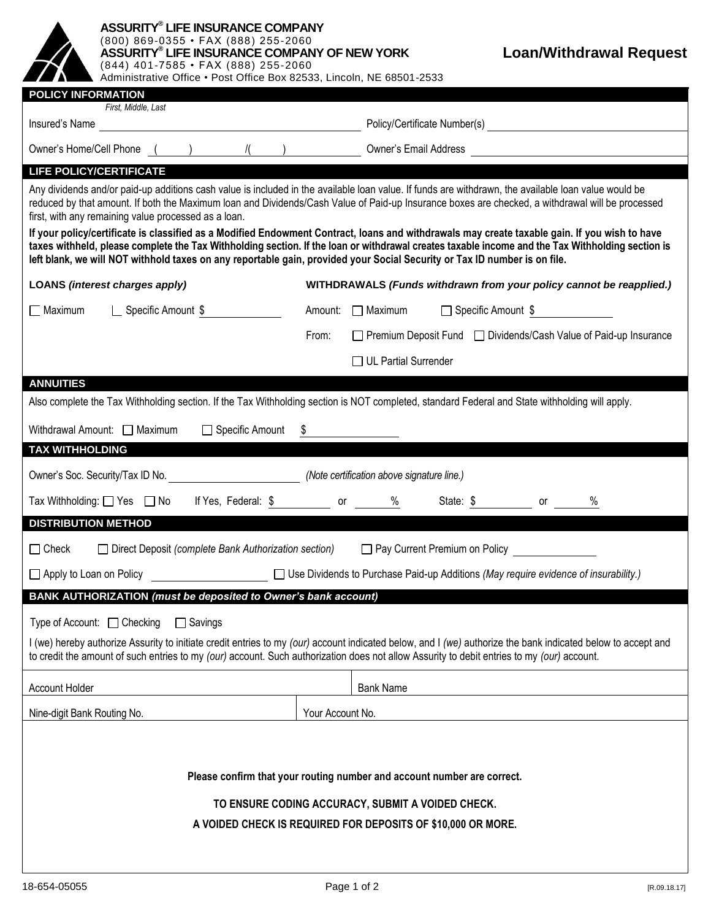| <b>ASSURITY® LIFE INSURANCE COMPANY</b><br>(800) 869-0355 · FAX (888) 255-2060<br>ASSURITY® LIFE INSURANCE COMPANY OF NEW YORK<br><b>Loan/Withdrawal Request</b><br>(844) 401-7585 · FAX (888) 255-2060<br>Administrative Office . Post Office Box 82533, Lincoln, NE 68501-2533                                                                                                                                                                                                                                  |                                                                                                                                                |
|-------------------------------------------------------------------------------------------------------------------------------------------------------------------------------------------------------------------------------------------------------------------------------------------------------------------------------------------------------------------------------------------------------------------------------------------------------------------------------------------------------------------|------------------------------------------------------------------------------------------------------------------------------------------------|
| <b>POLICY INFORMATION</b>                                                                                                                                                                                                                                                                                                                                                                                                                                                                                         |                                                                                                                                                |
| First, Middle, Last                                                                                                                                                                                                                                                                                                                                                                                                                                                                                               |                                                                                                                                                |
|                                                                                                                                                                                                                                                                                                                                                                                                                                                                                                                   | Owner's Home/Cell Phone () / / / ) Owner's Email Address (2008)                                                                                |
| <b>LIFE POLICY/CERTIFICATE</b>                                                                                                                                                                                                                                                                                                                                                                                                                                                                                    |                                                                                                                                                |
| Any dividends and/or paid-up additions cash value is included in the available loan value. If funds are withdrawn, the available loan value would be<br>reduced by that amount. If both the Maximum loan and Dividends/Cash Value of Paid-up Insurance boxes are checked, a withdrawal will be processed<br>first, with any remaining value processed as a loan.<br>If your policy/certificate is classified as a Modified Endowment Contract, loans and withdrawals may create taxable gain. If you wish to have |                                                                                                                                                |
| taxes withheld, please complete the Tax Withholding section. If the loan or withdrawal creates taxable income and the Tax Withholding section is<br>left blank, we will NOT withhold taxes on any reportable gain, provided your Social Security or Tax ID number is on file.                                                                                                                                                                                                                                     |                                                                                                                                                |
| <b>LOANS (interest charges apply)</b>                                                                                                                                                                                                                                                                                                                                                                                                                                                                             | WITHDRAWALS (Funds withdrawn from your policy cannot be reapplied.)                                                                            |
| <b>Exercific Amount \$</b><br>- Maximum                                                                                                                                                                                                                                                                                                                                                                                                                                                                           | $\Box$ Maximum<br>□ Specific Amount \$<br>Amount:                                                                                              |
|                                                                                                                                                                                                                                                                                                                                                                                                                                                                                                                   | □ Premium Deposit Fund □ Dividends/Cash Value of Paid-up Insurance<br>From:                                                                    |
|                                                                                                                                                                                                                                                                                                                                                                                                                                                                                                                   | □ UL Partial Surrender                                                                                                                         |
| <b>ANNUITIES</b>                                                                                                                                                                                                                                                                                                                                                                                                                                                                                                  |                                                                                                                                                |
|                                                                                                                                                                                                                                                                                                                                                                                                                                                                                                                   | Also complete the Tax Withholding section. If the Tax Withholding section is NOT completed, standard Federal and State withholding will apply. |
| Withdrawal Amount: Maximum<br>□ Specific Amount                                                                                                                                                                                                                                                                                                                                                                                                                                                                   |                                                                                                                                                |
| <b>TAX WITHHOLDING</b>                                                                                                                                                                                                                                                                                                                                                                                                                                                                                            |                                                                                                                                                |
| Owner's Soc. Security/Tax ID No. ________________________________(Note certification above signature line.)                                                                                                                                                                                                                                                                                                                                                                                                       |                                                                                                                                                |
| Tax Withholding: $\Box$ Yes $\Box$ No                                                                                                                                                                                                                                                                                                                                                                                                                                                                             | If Yes, Federal: \$ or %<br>State: \$ or<br>$\%$                                                                                               |
| <b>DISTRIBUTION METHOD</b>                                                                                                                                                                                                                                                                                                                                                                                                                                                                                        |                                                                                                                                                |
| $\Box$ Check<br>□ Pay Current Premium on Policy<br>$\Box$ Direct Deposit (complete Bank Authorization section)                                                                                                                                                                                                                                                                                                                                                                                                    |                                                                                                                                                |
| $\Box$ Apply to Loan on Policy                                                                                                                                                                                                                                                                                                                                                                                                                                                                                    | □ Use Dividends to Purchase Paid-up Additions (May require evidence of insurability.)                                                          |
| BANK AUTHORIZATION (must be deposited to Owner's bank account)                                                                                                                                                                                                                                                                                                                                                                                                                                                    |                                                                                                                                                |
| Type of Account: $\Box$ Checking<br>$\Box$ Savings<br>I (we) hereby authorize Assurity to initiate credit entries to my (our) account indicated below, and I (we) authorize the bank indicated below to accept and<br>to credit the amount of such entries to my (our) account. Such authorization does not allow Assurity to debit entries to my (our) account.                                                                                                                                                  |                                                                                                                                                |
| <b>Account Holder</b>                                                                                                                                                                                                                                                                                                                                                                                                                                                                                             | <b>Bank Name</b>                                                                                                                               |
| Nine-digit Bank Routing No.                                                                                                                                                                                                                                                                                                                                                                                                                                                                                       | Your Account No.                                                                                                                               |
| Please confirm that your routing number and account number are correct.<br>TO ENSURE CODING ACCURACY, SUBMIT A VOIDED CHECK.<br>A VOIDED CHECK IS REQUIRED FOR DEPOSITS OF \$10,000 OR MORE.                                                                                                                                                                                                                                                                                                                      |                                                                                                                                                |
|                                                                                                                                                                                                                                                                                                                                                                                                                                                                                                                   |                                                                                                                                                |